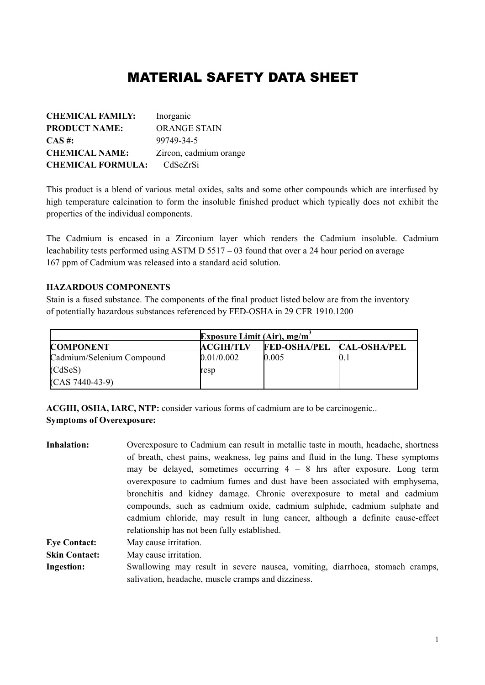# MATERIAL SAFETY DATA SHEET

| <b>CHEMICAL FAMILY:</b>  | Inorganic              |
|--------------------------|------------------------|
| <b>PRODUCT NAME:</b>     | <b>ORANGE STAIN</b>    |
| $CAS \#$ :               | 99749-34-5             |
| <b>CHEMICAL NAME:</b>    | Zircon, cadmium orange |
| <b>CHEMICAL FORMULA:</b> | CdSeZrSi               |

This product is a blend of various metal oxides, salts and some other compounds which are interfused by high temperature calcination to form the insoluble finished product which typically does not exhibit the properties of the individual components.

The Cadmium is encased in a Zirconium layer which renders the Cadmium insoluble. Cadmium leachability tests performed using ASTM D 5517 – 03 found that over a 24 hour period on average 167 ppm of Cadmium was released into a standard acid solution.

#### **HAZARDOUS COMPONENTS**

Stain is a fused substance. The components of the final product listed below are from the inventory of potentially hazardous substances referenced by FED-OSHA in 29 CFR 1910.1200

|                           | <b>Exposure Limit (Air), mg/m<sup>2</sup></b> |                                  |  |
|---------------------------|-----------------------------------------------|----------------------------------|--|
| <b>COMPONENT</b>          | <b>ACGIH/TLV</b>                              | <b>FED-OSHA/PEL CAL-OSHA/PEL</b> |  |
| Cadmium/Selenium Compound | 0.01/0.002                                    | 0.005                            |  |
| (CdSeS)                   | resp                                          |                                  |  |
| $(CAS 7440-43-9)$         |                                               |                                  |  |

**ACGIH, OSHA, IARC, NTP:** consider various forms of cadmium are to be carcinogenic.. **Symptoms of Overexposure:**

| <b>Inhalation:</b>   | Overexposure to Cadmium can result in metallic taste in mouth, headache, shortness<br>of breath, chest pains, weakness, leg pains and fluid in the lung. These symptoms<br>may be delayed, sometimes occurring $4 - 8$ hrs after exposure. Long term<br>overexposure to cadmium fumes and dust have been associated with emphysema,<br>bronchitis and kidney damage. Chronic overexposure to metal and cadmium |
|----------------------|----------------------------------------------------------------------------------------------------------------------------------------------------------------------------------------------------------------------------------------------------------------------------------------------------------------------------------------------------------------------------------------------------------------|
|                      | compounds, such as cadmium oxide, cadmium sulphide, cadmium sulphate and<br>cadmium chloride, may result in lung cancer, although a definite cause-effect<br>relationship has not been fully established.                                                                                                                                                                                                      |
| <b>Eye Contact:</b>  | May cause irritation.                                                                                                                                                                                                                                                                                                                                                                                          |
| <b>Skin Contact:</b> | May cause irritation.                                                                                                                                                                                                                                                                                                                                                                                          |
| <b>Ingestion:</b>    | Swallowing may result in severe nausea, vomiting, diarrhoea, stomach cramps,<br>salivation, headache, muscle cramps and dizziness.                                                                                                                                                                                                                                                                             |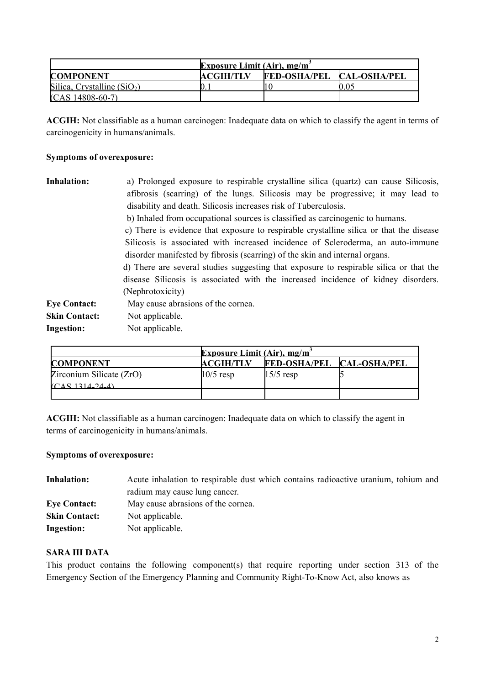| <b>Exposure Limit (Air), mg/m</b> |           |                                  |      |
|-----------------------------------|-----------|----------------------------------|------|
| <b>COMPONENT</b>                  | ACGIH/TLV | <b>FED-OSHA/PEL CAL-OSHA/PEL</b> |      |
| Silica, Crystalline $(SiO2)$      |           |                                  | 0.05 |
| $(CAS 14808-60-7)$                |           |                                  |      |

**ACGIH:** Not classifiable as a human carcinogen: Inadequate data on which to classify the agent in terms of carcinogenicity in humans/animals.

# **Symptoms of overexposure:**

| <b>Inhalation:</b>   | a) Prolonged exposure to respirable crystalline silica (quartz) can cause Silicosis,                                                                                        |  |  |
|----------------------|-----------------------------------------------------------------------------------------------------------------------------------------------------------------------------|--|--|
|                      | afibrosis (scarring) of the lungs. Silicosis may be progressive; it may lead to                                                                                             |  |  |
|                      | disability and death. Silicosis increases risk of Tuberculosis.                                                                                                             |  |  |
|                      | b) Inhaled from occupational sources is classified as carcinogenic to humans.                                                                                               |  |  |
|                      | c) There is evidence that exposure to respirable crystalline silica or that the disease                                                                                     |  |  |
|                      | Silicosis is associated with increased incidence of Scleroderma, an auto-immune                                                                                             |  |  |
|                      | disorder manifested by fibrosis (scarring) of the skin and internal organs.                                                                                                 |  |  |
|                      | d) There are several studies suggesting that exposure to respirable silica or that the<br>disease Silicosis is associated with the increased incidence of kidney disorders. |  |  |
|                      |                                                                                                                                                                             |  |  |
|                      | (Nephrotoxicity)                                                                                                                                                            |  |  |
| <b>Eye Contact:</b>  | May cause abrasions of the cornea.                                                                                                                                          |  |  |
| <b>Skin Contact:</b> | Not applicable.                                                                                                                                                             |  |  |
| <b>Ingestion:</b>    | Not applicable.                                                                                                                                                             |  |  |

|                          | <b>Exposure Limit (Air), mg/m<sup>2</sup></b> |                           |  |
|--------------------------|-----------------------------------------------|---------------------------|--|
| <b>COMPONENT</b>         | <b>ACGIH/TLV</b>                              | FED-OSHA/PEL CAL-OSHA/PEL |  |
| Zirconium Silicate (ZrO) | $10/5$ resp                                   | $15/5$ resp               |  |
| (CAS 1314.24.4)          |                                               |                           |  |
|                          |                                               |                           |  |

**ACGIH:** Not classifiable as a human carcinogen: Inadequate data on which to classify the agent in terms of carcinogenicity in humans/animals.

# **Symptoms of overexposure:**

| <b>Inhalation:</b>   | Acute inhalation to respirable dust which contains radioactive uranium, tohium and |
|----------------------|------------------------------------------------------------------------------------|
|                      | radium may cause lung cancer.                                                      |
| <b>Eye Contact:</b>  | May cause abrasions of the cornea.                                                 |
| <b>Skin Contact:</b> | Not applicable.                                                                    |
| Ingestion:           | Not applicable.                                                                    |

# **SARA III DATA**

This product contains the following component(s) that require reporting under section 313 of the Emergency Section of the Emergency Planning and Community Right-To-Know Act, also knows as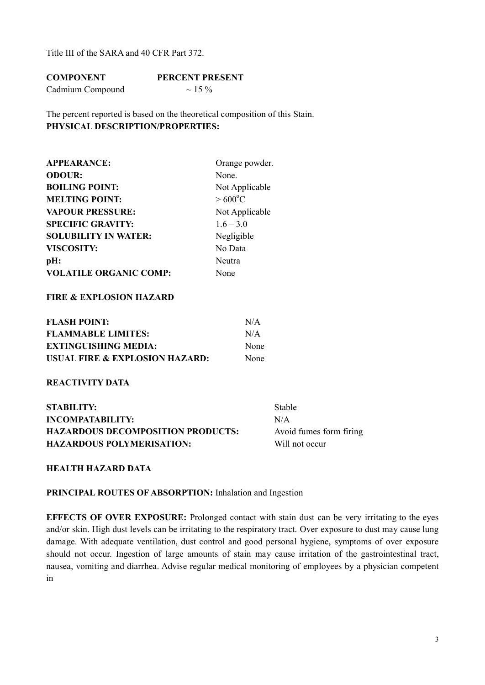Title III of the SARA and 40 CFR Part 372.

| <b>COMPONENT</b> | <b>PERCENT PRESENT</b> |
|------------------|------------------------|
| Cadmium Compound | $\sim$ 1.5 %           |

The percent reported is based on the theoretical composition of this Stain. **PHYSICAL DESCRIPTION/PROPERTIES:**

| <b>APPEARANCE:</b>            | Orange powder.   |
|-------------------------------|------------------|
| <b>ODOUR:</b>                 | None.            |
| <b>BOILING POINT:</b>         | Not Applicable   |
| <b>MELTING POINT:</b>         | $>600^{\circ}$ C |
| <b>VAPOUR PRESSURE:</b>       | Not Applicable   |
| <b>SPECIFIC GRAVITY:</b>      | $1.6 - 3.0$      |
| <b>SOLUBILITY IN WATER:</b>   | Negligible       |
| <b>VISCOSITY:</b>             | No Data          |
| pH:                           | Neutra           |
| <b>VOLATILE ORGANIC COMP:</b> | None             |

# **FIRE & EXPLOSION HAZARD**

| <b>FLASH POINT:</b>            | N/A         |
|--------------------------------|-------------|
| <b>FLAMMABLE LIMITES:</b>      | N/A         |
| <b>EXTINGUISHING MEDIA:</b>    | <b>None</b> |
| USUAL FIRE & EXPLOSION HAZARD: | None        |

## **REACTIVITY DATA**

| STABILITY:                               | <b>Stable</b>           |
|------------------------------------------|-------------------------|
| INCOMPATABILITY:                         | N/A                     |
| <b>HAZARDOUS DECOMPOSITION PRODUCTS:</b> | Avoid fumes form firing |
| <b>HAZARDOUS POLYMERISATION:</b>         | Will not occur          |

## **HEALTH HAZARD DATA**

#### **PRINCIPAL ROUTES OF ABSORPTION:** Inhalation and Ingestion

**EFFECTS OF OVER EXPOSURE:** Prolonged contact with stain dust can be very irritating to the eyes and/or skin. High dust levels can be irritating to the respiratory tract. Over exposure to dust may cause lung damage. With adequate ventilation, dust control and good personal hygiene, symptoms of over exposure should not occur. Ingestion of large amounts of stain may cause irritation of the gastrointestinal tract, nausea, vomiting and diarrhea. Advise regular medical monitoring of employees by a physician competent in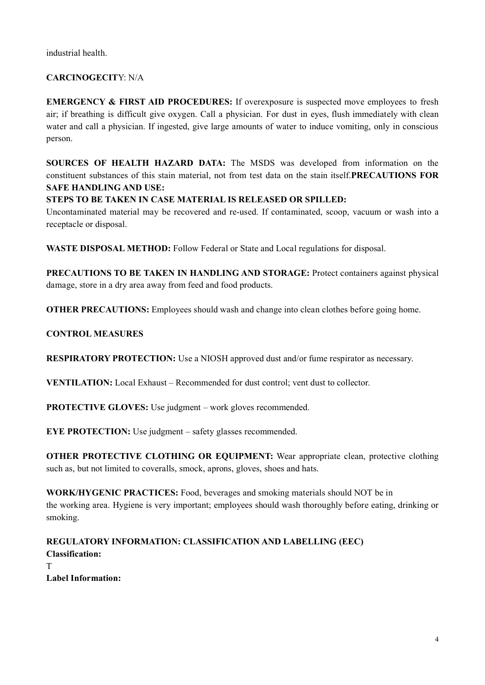industrial health.

# **CARCINOGECIT**Y: N/A

**EMERGENCY & FIRST AID PROCEDURES:** If overexposure is suspected move employees to fresh air; if breathing is difficult give oxygen. Call a physician. For dust in eyes, flush immediately with clean water and call a physician. If ingested, give large amounts of water to induce vomiting, only in conscious person.

**SOURCES OF HEALTH HAZARD DATA:** The MSDS was developed from information on the constituent substances of this stain material, not from test data on the stain itself.**PRECAUTIONS FOR SAFE HANDLING AND USE:**

# **STEPS TO BE TAKEN IN CASE MATERIAL IS RELEASED OR SPILLED:**

Uncontaminated material may be recovered and re-used. If contaminated, scoop, vacuum or wash into a receptacle or disposal.

**WASTE DISPOSAL METHOD:** Follow Federal or State and Local regulations for disposal.

**PRECAUTIONS TO BE TAKEN IN HANDLING AND STORAGE:** Protect containers against physical damage, store in a dry area away from feed and food products.

**OTHER PRECAUTIONS:** Employees should wash and change into clean clothes before going home.

# **CONTROL MEASURES**

**RESPIRATORY PROTECTION:** Use a NIOSH approved dust and/or fume respirator as necessary.

**VENTILATION:** Local Exhaust – Recommended for dust control; vent dust to collector.

**PROTECTIVE GLOVES:** Use judgment – work gloves recommended.

**EYE PROTECTION:** Use judgment – safety glasses recommended.

**OTHER PROTECTIVE CLOTHING OR EQUIPMENT:** Wear appropriate clean, protective clothing such as, but not limited to coveralls, smock, aprons, gloves, shoes and hats.

**WORK/HYGENIC PRACTICES:** Food, beverages and smoking materials should NOT be in the working area. Hygiene is very important; employees should wash thoroughly before eating, drinking or smoking.

# **REGULATORY INFORMATION: CLASSIFICATION AND LABELLING (EEC) Classification:** T **Label Information:**